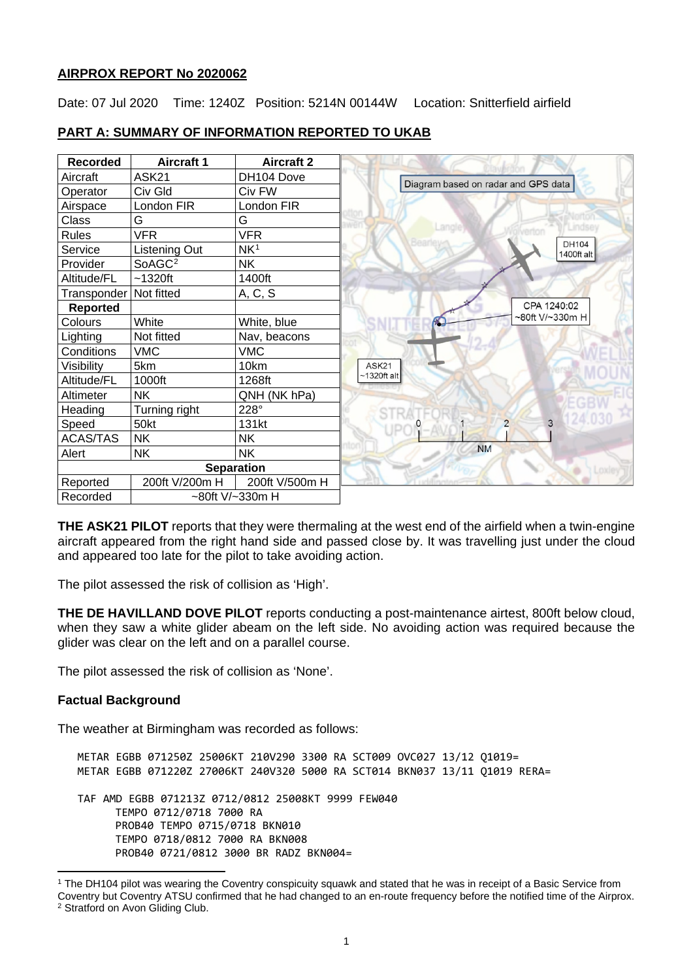#### **AIRPROX REPORT No 2020062**

Date: 07 Jul 2020 Time: 1240Z Position: 5214N 00144W Location: Snitterfield airfield

| <b>Recorded</b> | <b>Aircraft 1</b>  | <b>Aircraft 2</b> |                                     |
|-----------------|--------------------|-------------------|-------------------------------------|
| Aircraft        | ASK21              | DH104 Dove        | Diagram based on radar and GPS data |
| Operator        | Civ Gld            | Civ FW            |                                     |
| Airspace        | London FIR         | London FIR        |                                     |
| Class           | G                  | G                 | <b>Indset</b>                       |
| <b>Rules</b>    | <b>VFR</b>         | <b>VFR</b>        |                                     |
| Service         | Listening Out      | NK <sup>1</sup>   | DH104<br>1400ft alt                 |
| Provider        | SoAGC <sup>2</sup> | <b>NK</b>         |                                     |
| Altitude/FL     | $~1320$ ft         | 1400ft            |                                     |
| Transponder     | Not fitted         | A, C, S           |                                     |
| <b>Reported</b> |                    |                   | CPA 1240:02                         |
| Colours         | White              | White, blue       | ~80ft V/~330m H                     |
| Lighting        | Not fitted         | Nav, beacons      |                                     |
| Conditions      | <b>VMC</b>         | <b>VMC</b>        |                                     |
| Visibility      | 5km                | 10km              | ASK21                               |
| Altitude/FL     | 1000ft             | 1268ft            | $~1320$ ft alt                      |
| Altimeter       | <b>NK</b>          | QNH (NK hPa)      |                                     |
| Heading         | Turning right      | 228°              |                                     |
| Speed           | 50kt               | 131kt             | $\overline{2}$<br>3                 |
| <b>ACAS/TAS</b> | <b>NK</b>          | NΚ                |                                     |
| Alert           | <b>NK</b>          | <b>NK</b>         | <b>NM</b>                           |
|                 |                    | <b>Separation</b> |                                     |
| Reported        | 200ft V/200m H     | 200ft V/500m H    |                                     |
| Recorded        | ~80ft V/~330m H    |                   |                                     |

# **PART A: SUMMARY OF INFORMATION REPORTED TO UKAB**

**THE ASK21 PILOT** reports that they were thermaling at the west end of the airfield when a twin-engine aircraft appeared from the right hand side and passed close by. It was travelling just under the cloud and appeared too late for the pilot to take avoiding action.

The pilot assessed the risk of collision as 'High'.

**THE DE HAVILLAND DOVE PILOT** reports conducting a post-maintenance airtest, 800ft below cloud, when they saw a white glider abeam on the left side. No avoiding action was required because the glider was clear on the left and on a parallel course.

The pilot assessed the risk of collision as 'None'.

# **Factual Background**

The weather at Birmingham was recorded as follows:

METAR EGBB 071250Z 25006KT 210V290 3300 RA SCT009 OVC027 13/12 Q1019= METAR EGBB 071220Z 27006KT 240V320 5000 RA SCT014 BKN037 13/11 Q1019 RERA= TAF AMD EGBB 071213Z 0712/0812 25008KT 9999 FEW040 TEMPO 0712/0718 7000 RA PROB40 TEMPO 0715/0718 BKN010 TEMPO 0718/0812 7000 RA BKN008 PROB40 0721/0812 3000 BR RADZ BKN004=

<span id="page-0-0"></span><sup>1</sup> The DH104 pilot was wearing the Coventry conspicuity squawk and stated that he was in receipt of a Basic Service from Coventry but Coventry ATSU confirmed that he had changed to an en-route frequency before the notified time of the Airprox.

<span id="page-0-1"></span><sup>2</sup> Stratford on Avon Gliding Club.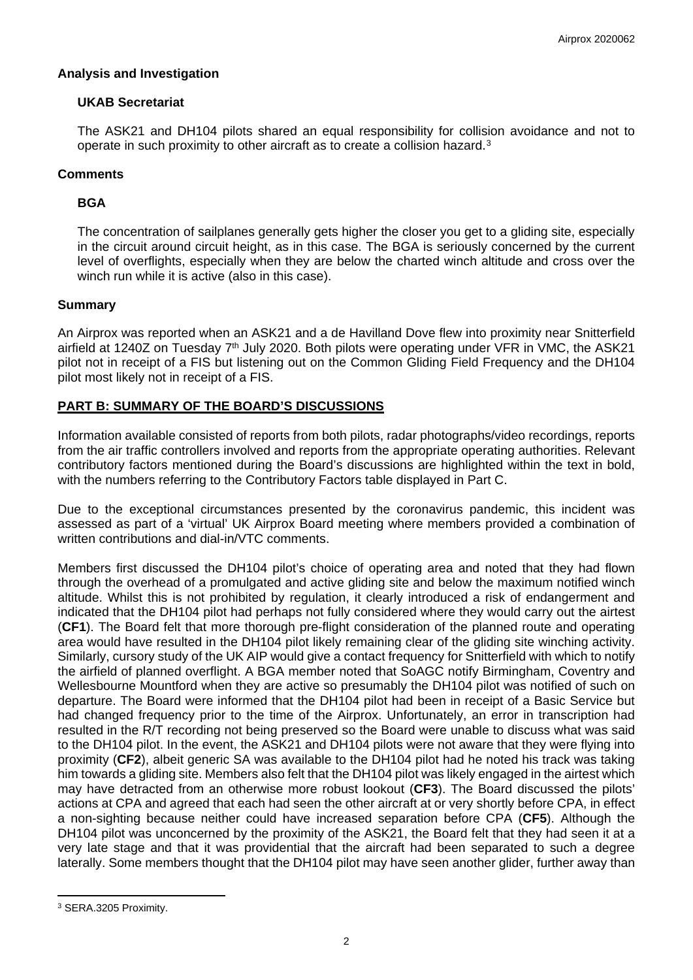#### **Analysis and Investigation**

#### **UKAB Secretariat**

The ASK21 and DH104 pilots shared an equal responsibility for collision avoidance and not to operate in such proximity to other aircraft as to create a collision hazard.[3](#page-1-0)

#### **Comments**

#### **BGA**

The concentration of sailplanes generally gets higher the closer you get to a gliding site, especially in the circuit around circuit height, as in this case. The BGA is seriously concerned by the current level of overflights, especially when they are below the charted winch altitude and cross over the winch run while it is active (also in this case).

#### **Summary**

An Airprox was reported when an ASK21 and a de Havilland Dove flew into proximity near Snitterfield airfield at 1240Z on Tuesday  $7<sup>th</sup>$  July 2020. Both pilots were operating under VFR in VMC, the ASK21 pilot not in receipt of a FIS but listening out on the Common Gliding Field Frequency and the DH104 pilot most likely not in receipt of a FIS.

#### **PART B: SUMMARY OF THE BOARD'S DISCUSSIONS**

Information available consisted of reports from both pilots, radar photographs/video recordings, reports from the air traffic controllers involved and reports from the appropriate operating authorities. Relevant contributory factors mentioned during the Board's discussions are highlighted within the text in bold, with the numbers referring to the Contributory Factors table displayed in Part C.

Due to the exceptional circumstances presented by the coronavirus pandemic, this incident was assessed as part of a 'virtual' UK Airprox Board meeting where members provided a combination of written contributions and dial-in/VTC comments.

Members first discussed the DH104 pilot's choice of operating area and noted that they had flown through the overhead of a promulgated and active gliding site and below the maximum notified winch altitude. Whilst this is not prohibited by regulation, it clearly introduced a risk of endangerment and indicated that the DH104 pilot had perhaps not fully considered where they would carry out the airtest (**CF1**). The Board felt that more thorough pre-flight consideration of the planned route and operating area would have resulted in the DH104 pilot likely remaining clear of the gliding site winching activity. Similarly, cursory study of the UK AIP would give a contact frequency for Snitterfield with which to notify the airfield of planned overflight. A BGA member noted that SoAGC notify Birmingham, Coventry and Wellesbourne Mountford when they are active so presumably the DH104 pilot was notified of such on departure. The Board were informed that the DH104 pilot had been in receipt of a Basic Service but had changed frequency prior to the time of the Airprox. Unfortunately, an error in transcription had resulted in the R/T recording not being preserved so the Board were unable to discuss what was said to the DH104 pilot. In the event, the ASK21 and DH104 pilots were not aware that they were flying into proximity (**CF2**), albeit generic SA was available to the DH104 pilot had he noted his track was taking him towards a gliding site. Members also felt that the DH104 pilot was likely engaged in the airtest which may have detracted from an otherwise more robust lookout (**CF3**). The Board discussed the pilots' actions at CPA and agreed that each had seen the other aircraft at or very shortly before CPA, in effect a non-sighting because neither could have increased separation before CPA (**CF5**). Although the DH104 pilot was unconcerned by the proximity of the ASK21, the Board felt that they had seen it at a very late stage and that it was providential that the aircraft had been separated to such a degree laterally. Some members thought that the DH104 pilot may have seen another glider, further away than

<span id="page-1-0"></span><sup>3</sup> SERA.3205 Proximity.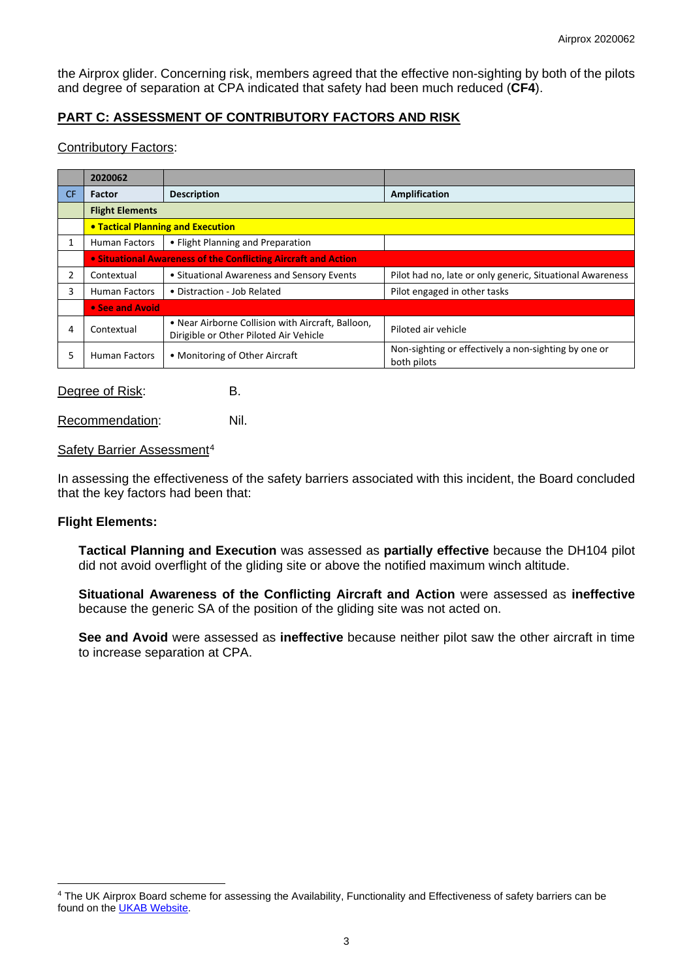the Airprox glider. Concerning risk, members agreed that the effective non-sighting by both of the pilots and degree of separation at CPA indicated that safety had been much reduced (**CF4**).

## **PART C: ASSESSMENT OF CONTRIBUTORY FACTORS AND RISK**

### Contributory Factors:

|     | 2020062                                                               |                                                                                             |                                                                     |  |  |
|-----|-----------------------------------------------------------------------|---------------------------------------------------------------------------------------------|---------------------------------------------------------------------|--|--|
| CF. | <b>Factor</b>                                                         | <b>Description</b>                                                                          | Amplification                                                       |  |  |
|     | <b>Flight Elements</b>                                                |                                                                                             |                                                                     |  |  |
|     | <b>• Tactical Planning and Execution</b>                              |                                                                                             |                                                                     |  |  |
| 1   | <b>Human Factors</b>                                                  | • Flight Planning and Preparation                                                           |                                                                     |  |  |
|     | <b>• Situational Awareness of the Conflicting Aircraft and Action</b> |                                                                                             |                                                                     |  |  |
| 2   | Contextual                                                            | • Situational Awareness and Sensory Events                                                  | Pilot had no, late or only generic, Situational Awareness           |  |  |
| 3   | <b>Human Factors</b>                                                  | • Distraction - Job Related                                                                 | Pilot engaged in other tasks                                        |  |  |
|     | • See and Avoid                                                       |                                                                                             |                                                                     |  |  |
| 4   | Contextual                                                            | • Near Airborne Collision with Aircraft, Balloon,<br>Dirigible or Other Piloted Air Vehicle | Piloted air vehicle                                                 |  |  |
| ר   | <b>Human Factors</b>                                                  | • Monitoring of Other Aircraft                                                              | Non-sighting or effectively a non-sighting by one or<br>both pilots |  |  |

Degree of Risk: B.

Recommendation: Nil.

#### Safety Barrier Assessment<sup>[4](#page-2-0)</sup>

In assessing the effectiveness of the safety barriers associated with this incident, the Board concluded that the key factors had been that:

#### **Flight Elements:**

**Tactical Planning and Execution** was assessed as **partially effective** because the DH104 pilot did not avoid overflight of the gliding site or above the notified maximum winch altitude.

**Situational Awareness of the Conflicting Aircraft and Action** were assessed as **ineffective** because the generic SA of the position of the gliding site was not acted on.

**See and Avoid** were assessed as **ineffective** because neither pilot saw the other aircraft in time to increase separation at CPA.

<span id="page-2-0"></span><sup>4</sup> The UK Airprox Board scheme for assessing the Availability, Functionality and Effectiveness of safety barriers can be found on the [UKAB Website.](http://www.airproxboard.org.uk/Learn-more/Airprox-Barrier-Assessment/)